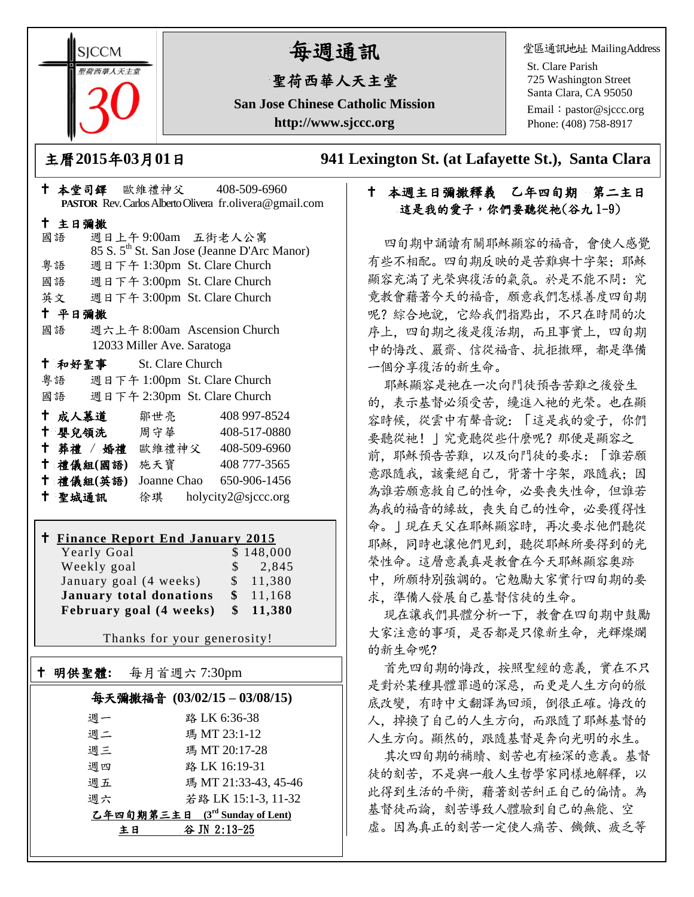**SICCM** 荷西華人天主

# 每週通訊

## 聖荷西華人天主堂

**San Jose Chinese Catholic Mission http://www.sjccc.org**

堂區通訊地址 MailingAddress

St. Clare Parish 725 Washington Street Santa Clara, CA 95050

Email: [pastor@sjccc.org](mailto:pastor@sjccc.org) Phone: (408) 758-8917

主曆**2015**年**03**月**01**日 **941 Lexington St. (at Lafayette St.), Santa Clara** 

## 十 本週主日彌撒釋義 乙年四旬期 第二主日 這是我的愛子,你們要聽從祂(谷九1-9)

四旬期中誦讀有關耶穌顯容的福音,會使人感覺 有些不相配。四旬期反映的是苦難與十字架;耶穌 顯容充滿了光榮與復活的氣氛。於是不能不問: 究 竟教會藉著今天的福音,願意我們怎樣善度四旬期 呢?綜合地說,它給我們指點出,不只在時間的次 序上,四旬期之後是復活期,而且事實上,四旬期 中的悔改、嚴齋、信從福音、抗拒撒殫,都是準備 一個分享復活的新生命。

耶穌顯容是祂在一次向門徒預告苦難之後發生 的,表示基督必須受苦,纔進入祂的光榮。也在顯 容時候,從雲中有聲音說:「這是我的愛子,你們 要聽從祂! | 究竟聽從些什麼呢? 那便是顯容之 前,耶穌預告苦難,以及向門徒的要求:「誰若願 意跟隨我,該棄絕自己,背著十字架,跟隨我;因 為誰若願意救自己的性命,必要喪失性命,但誰若 為我的福音的緣故,喪失自己的性命,必要獲得性 命。」現在天父在耶穌顯容時,再次要求他們聽從 耶穌,同時也讓他們見到,聽從耶穌所要得到的光 榮性命。這層意義真是教會在今天耶穌顯容奧跡 中,所願特別強調的。它勉勵大家實行四旬期的要 求,準備人發展自己基督信徒的生命。

現在讓我們具體分析一下,教會在四旬期中鼓勵 大家注意的事項,是否都是只像新生命,光輝燦爛 的新生命呢?

首先四旬期的悔改,按照聖經的意義,實在不只 是對於某種具體罪過的深惡,而更是人生方向的徹 底改變,有時中文翻譯為回頭,倒很正確。悔改的 人,掉換了自己的人生方向,而跟隨了耶穌基督的 人生方向。顯然的,跟隨基督是奔向光明的永生。

其次四旬期的補贖、刻苦也有極深的意義。基督 徒的刻苦,不是與一般人生哲學家同樣地解釋,以 此得到生活的平衡,藉著刻苦糾正自己的偏情。為 基督徒而論,刻苦導致人體驗到自己的無能、空 虚。因為真正的刻苦一定使人痛苦、饑餓、疲乏等

|        |                         |                            | <b>PASTOR</b> Rev. Carlos Alberto Olivera fr. olivera@gmail.com |
|--------|-------------------------|----------------------------|-----------------------------------------------------------------|
| 十 主日彌撒 |                         |                            |                                                                 |
| 國語     |                         |                            | 週日上午9:00am 五街老人公寓                                               |
|        |                         |                            | 85 S. 5 <sup>th</sup> St. San Jose (Jeanne D'Arc Manor)         |
|        |                         |                            | 粤語 週日下午 1:30pm St. Clare Church                                 |
|        |                         |                            | 國語 週日下午 3:00pm St. Clare Church                                 |
|        |                         |                            | 英文 週日下午 3:00pm St. Clare Church                                 |
| 十 平日彌撒 |                         |                            |                                                                 |
| 國語     |                         |                            | 週六上午 8:00am Ascension Church                                    |
|        |                         | 12033 Miller Ave. Saratoga |                                                                 |
|        | † 和好聖事 St. Clare Church |                            |                                                                 |
|        |                         |                            | 粤語 週日下午 1:00pm St. Clare Church                                 |
|        |                         |                            | 國語 週日下午 2:30pm St. Clare Church                                 |
|        | ← 成人慕道   鄒世亮            |                            | 408 997-8524                                                    |
|        |                         |                            | † 嬰兒領洗 周守華 408-517-0880                                         |
|        |                         |                            | † 葬禮 / 婚禮 歐維禮神父 408-509-6960                                    |
|        | 十 禮儀組(國語) 施天寶           |                            | 408 777-3565                                                    |
|        | 十 禮儀組(英語)               |                            | Joanne Chao 650-906-1456                                        |
| 十 聖城通訊 |                         |                            | 徐琪 holycity2@sjccc.org                                          |

本堂司鐸 歐維禮神父 408-509-6960

## **Finance Report End January 2015**

| Yearly Goal                    |               | \$148,000           |
|--------------------------------|---------------|---------------------|
| Weekly goal                    |               | $\frac{1}{2}$ , 845 |
| January goal (4 weeks)         |               | \$11,380            |
| <b>January total donations</b> | <sup>\$</sup> | 11,168              |
| February goal (4 weeks)        |               | \$11,380            |

Thanks for your generosity!

| 明供聖體: | 每月首週六 7:30pm                     |
|-------|----------------------------------|
|       | 每天彌撒福音 (03/02/15-03/08/15)       |
| 週一    | 路 LK 6:36-38                     |
| 调二    | 瑪 MT 23:1-12                     |
| 週三    | 瑪 MT 20:17-28                    |
| 週四    | 路 LK 16:19-31                    |
| 週五    | 瑪 MT 21:33-43, 45-46             |
| 调六    | 若路 LK 15:1-3, 11-32              |
|       | 乙年四旬期第三主日 $(3rd$ Sunday of Lent) |
|       | 谷 JN 2:13-25<br>主日               |
|       |                                  |